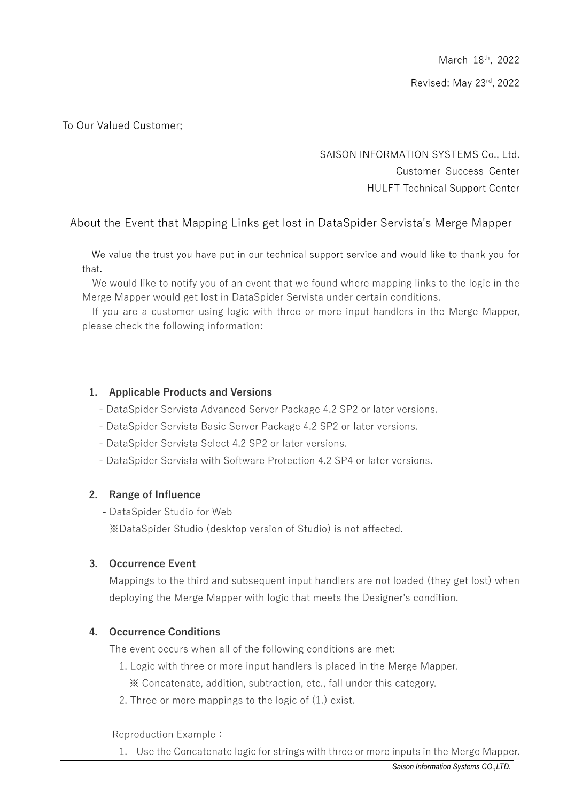## To Our Valued Customer;

# SAISON INFORMATION SYSTEMS Co., Ltd. Customer Success Center HULFT Technical Support Center

# About the Event that Mapping Links get lost in DataSpider Servista's Merge Mapper

We value the trust you have put in our technical support service and would like to thank you for that.

We would like to notify you of an event that we found where mapping links to the logic in the Merge Mapper would get lost in DataSpider Servista under certain conditions.

If you are a customer using logic with three or more input handlers in the Merge Mapper, please check the following information:

#### **1. Applicable Products and Versions**

- DataSpider Servista Advanced Server Package 4.2 SP2 or later versions.
- DataSpider Servista Basic Server Package 4.2 SP2 or later versions.
- DataSpider Servista Select 4.2 SP2 or later versions.
- DataSpider Servista with Software Protection 4.2 SP4 or later versions.

#### **2. Range of Influence**

**-** DataSpider Studio for Web ※DataSpider Studio (desktop version of Studio) is not affected.

#### **3. Occurrence Event**

Mappings to the third and subsequent input handlers are not loaded (they get lost) when deploying the Merge Mapper with logic that meets the Designer's condition.

#### **4. Occurrence Conditions**

The event occurs when all of the following conditions are met:

- 1. Logic with three or more input handlers is placed in the Merge Mapper. ※ Concatenate, addition, subtraction, etc., fall under this category.
- 2. Three or more mappings to the logic of (1.) exist.

Reproduction Example:

1. Use the Concatenate logic for strings with three or more inputs in the Merge Mapper.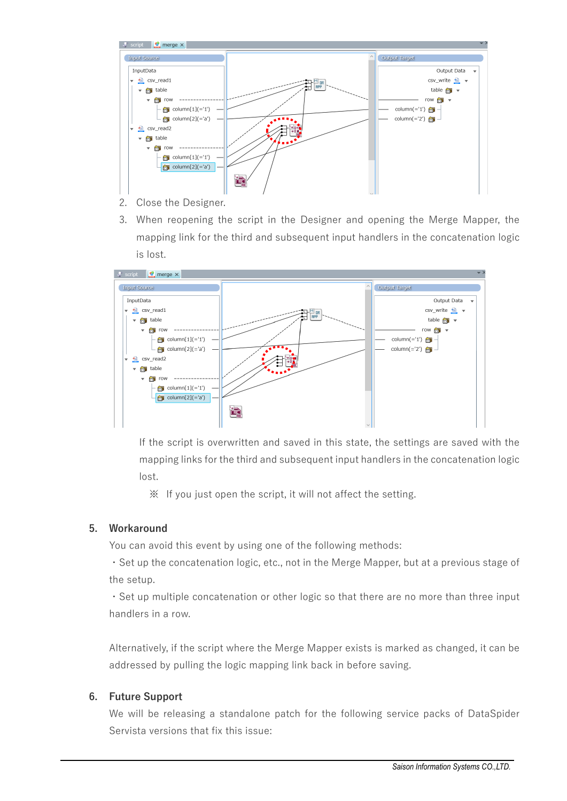

- 2. Close the Designer.
- 3. When reopening the script in the Designer and opening the Merge Mapper, the mapping link for the third and subsequent input handlers in the concatenation logic is lost.



If the script is overwritten and saved in this state, the settings are saved with the mapping links for the third and subsequent input handlers in the concatenation logic lost.

※ If you just open the script, it will not affect the setting.

#### **5. Workaround**

You can avoid this event by using one of the following methods:

・Set up the concatenation logic, etc., not in the Merge Mapper, but at a previous stage of the setup.

・Set up multiple concatenation or other logic so that there are no more than three input handlers in a row.

Alternatively, if the script where the Merge Mapper exists is marked as changed, it can be addressed by pulling the logic mapping link back in before saving.

#### **6. Future Support**

We will be releasing a standalone patch for the following service packs of DataSpider Servista versions that fix this issue: